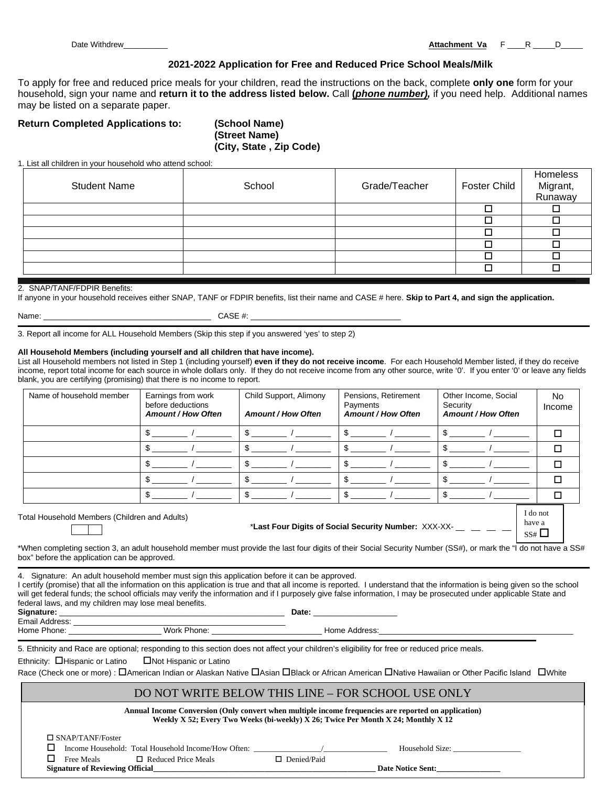Date Withdrew\_\_\_\_\_\_\_\_\_\_ **Attachment Va** F \_\_\_\_R \_\_\_\_\_D\_\_\_\_\_

## **2021-2022 Application for Free and Reduced Price School Meals/Milk**

To apply for free and reduced price meals for your children, read the instructions on the back, complete **only one** form for your household, sign your name and **return it to the address listed below.** Call **(***phone number),* if you need help. Additional names may be listed on a separate paper.

## **Return Completed Applications to: (School Name)**

**(Street Name) (City, State , Zip Code)**

1. List all children in your household who attend school:

| <b>Student Name</b> | School | Grade/Teacher | <b>Foster Child</b> | Homeless<br>Migrant,<br>Runaway |
|---------------------|--------|---------------|---------------------|---------------------------------|
|                     |        |               |                     |                                 |
|                     |        |               |                     |                                 |
|                     |        |               |                     |                                 |
|                     |        |               |                     |                                 |
|                     |        |               |                     |                                 |
|                     |        |               |                     |                                 |

#### 2. SNAP/TANF/FDPIR Benefits:

If anyone in your household receives either SNAP, TANF or FDPIR benefits, list their name and CASE # here. **Skip to Part 4, and sign the application.**

| Name: |  |
|-------|--|
|       |  |

 $CASE$  #:  $\_$ 

3. Report all income for ALL Household Members (Skip this step if you answered 'yes' to step 2)

#### **All Household Members (including yourself and all children that have income).**

List all Household members not listed in Step 1 (including yourself) **even if they do not receive income**. For each Household Member listed, if they do receive income, report total income for each source in whole dollars only. If they do not receive income from any other source, write '0'. If you enter '0' or leave any fields blank, you are certifying (promising) that there is no income to report.

| Name of household member | Earnings from work<br>before deductions<br><b>Amount / How Often</b> | Child Support, Alimony<br><b>Amount / How Often</b> | Pensions, Retirement<br>Payments<br><b>Amount / How Often</b> | Other Income, Social<br>Security<br><b>Amount / How Often</b> | No.<br>Income |
|--------------------------|----------------------------------------------------------------------|-----------------------------------------------------|---------------------------------------------------------------|---------------------------------------------------------------|---------------|
|                          |                                                                      |                                                     |                                                               |                                                               |               |
|                          |                                                                      |                                                     |                                                               |                                                               | ⊓             |
|                          |                                                                      |                                                     |                                                               |                                                               | □             |
|                          |                                                                      |                                                     |                                                               |                                                               | ⊓             |
|                          |                                                                      |                                                     |                                                               |                                                               | □             |
|                          |                                                                      |                                                     |                                                               | I do not                                                      |               |

Total Household Members (Children and Adults)

\*Last Four Digits of Social Security Number: XXX-XX-

have a  $SS#$ 

\*When completing section 3, an adult household member must provide the last four digits of their Social Security Number (SS#), or mark the "I do not have a SS# box" before the application can be approved.

4. Signature: An adult household member must sign this application before it can be approved.

I certify (promise) that all the information on this application is true and that all income is reported. I understand that the information is being given so the school will get federal funds; the school officials may verify the information and if I purposely give false information, I may be prosecuted under applicable State and federal laws, and my children may lose meal benefits. **Signature:** \_\_\_\_\_\_\_\_\_\_\_\_\_\_\_\_\_\_\_\_\_\_\_\_\_\_\_\_\_\_\_\_\_\_\_\_\_\_\_\_\_\_\_\_\_\_\_\_\_\_\_ **Date:** \_\_\_\_\_\_\_\_\_\_\_\_\_\_\_\_\_\_\_

| signature:              |  |  |
|-------------------------|--|--|
| $\Gamma$ as all Andeles |  |  |

Email Address:

Home Phone: The Contract of the Work Phone: The Contract of Home Address:

5. Ethnicity and Race are optional; responding to this section does not affect your children's eligibility for free or reduced price meals.

Ethnicity:  $\Box$  Hispanic or Latino  $\Box$  Not Hispanic or Latino

Race (Check one or more) :  $\Box$ American Indian or Alaskan Native  $\Box$ Asian  $\Box$ Black or African American  $\Box$ Native Hawaiian or Other Pacific Island  $\Box$ White

## DO NOT WRITE BELOW THIS LINE – FOR SCHOOL USE ONLY

|                                        | Annual Income Conversion (Only convert when multiple income frequencies are reported on application)<br>Weekly X 52; Every Two Weeks (bi-weekly) X 26; Twice Per Month X 24; Monthly X 12 |                    |                          |  |  |
|----------------------------------------|-------------------------------------------------------------------------------------------------------------------------------------------------------------------------------------------|--------------------|--------------------------|--|--|
| $\Box$ SNAP/TANF/Foster                |                                                                                                                                                                                           |                    |                          |  |  |
|                                        | Income Household: Total Household Income/How Often:                                                                                                                                       |                    | Household Size:          |  |  |
| Free Meals                             | $\Box$ Reduced Price Meals                                                                                                                                                                | $\Box$ Denied/Paid |                          |  |  |
| <b>Signature of Reviewing Official</b> |                                                                                                                                                                                           |                    | <b>Date Notice Sent:</b> |  |  |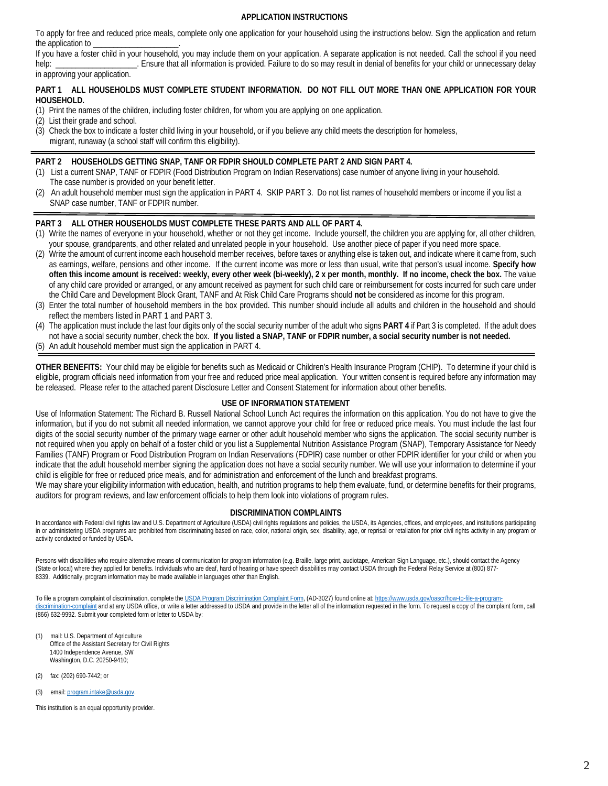## **APPLICATION INSTRUCTIONS**

To apply for free and reduced price meals, complete only one application for your household using the instructions below. Sign the application and return the application to

If you have a foster child in your household, you may include them on your application. A separate application is not needed. Call the school if you need help: Ensure that all information is provided. Failure to do so may result in denial of benefits for your child or unnecessary delay

in approving your application.

#### **PART 1 ALL HOUSEHOLDS MUST COMPLETE STUDENT INFORMATION. DO NOT FILL OUT MORE THAN ONE APPLICATION FOR YOUR HOUSEHOLD.**

- (1) Print the names of the children, including foster children, for whom you are applying on one application.
- (2) List their grade and school.
- (3) Check the box to indicate a foster child living in your household, or if you believe any child meets the description for homeless, migrant, runaway (a school staff will confirm this eligibility).

#### **PART 2 HOUSEHOLDS GETTING SNAP, TANF OR FDPIR SHOULD COMPLETE PART 2 AND SIGN PART 4.**

- (1) List a current SNAP, TANF or FDPIR (Food Distribution Program on Indian Reservations) case number of anyone living in your household. The case number is provided on your benefit letter.
- (2) An adult household member must sign the application in PART 4. SKIP PART 3. Do not list names of household members or income if you list a SNAP case number, TANF or FDPIR number.

#### **PART 3 ALL OTHER HOUSEHOLDS MUST COMPLETE THESE PARTS AND ALL OF PART 4.**

- (1) Write the names of everyone in your household, whether or not they get income. Include yourself, the children you are applying for, all other children, your spouse, grandparents, and other related and unrelated people in your household. Use another piece of paper if you need more space.
- (2) Write the amount of current income each household member receives, before taxes or anything else is taken out, and indicate where it came from, such as earnings, welfare, pensions and other income. If the current income was more or less than usual, write that person's usual income. **Specify how often this income amount is received: weekly, every other week (bi-weekly), 2 x per month, monthly. If no income, check the box.** The value of any child care provided or arranged, or any amount received as payment for such child care or reimbursement for costs incurred for such care under the Child Care and Development Block Grant, TANF and At Risk Child Care Programs should **not** be considered as income for this program.
- (3) Enter the total number of household members in the box provided. This number should include all adults and children in the household and should reflect the members listed in PART 1 and PART 3.
- (4) The application must include the last four digits only of the social security number of the adult who signs **PART 4** if Part 3 is completed. If the adult does not have a social security number, check the box. **If you listed a SNAP, TANF or FDPIR number, a social security number is not needed.**
- (5) An adult household member must sign the application in PART 4.

**OTHER BENEFITS:** Your child may be eligible for benefits such as Medicaid or Children's Health Insurance Program (CHIP). To determine if your child is eligible, program officials need information from your free and reduced price meal application. Your written consent is required before any information may be released. Please refer to the attached parent Disclosure Letter and Consent Statement for information about other benefits.

#### **USE OF INFORMATION STATEMENT**

Use of Information Statement: The Richard B. Russell National School Lunch Act requires the information on this application. You do not have to give the information, but if you do not submit all needed information, we cannot approve your child for free or reduced price meals. You must include the last four digits of the social security number of the primary wage earner or other adult household member who signs the application. The social security number is not required when you apply on behalf of a foster child or you list a Supplemental Nutrition Assistance Program (SNAP), Temporary Assistance for Needy Families (TANF) Program or Food Distribution Program on Indian Reservations (FDPIR) case number or other FDPIR identifier for your child or when you indicate that the adult household member signing the application does not have a social security number. We will use your information to determine if your child is eligible for free or reduced price meals, and for administration and enforcement of the lunch and breakfast programs.

We may share your eligibility information with education, health, and nutrition programs to help them evaluate, fund, or determine benefits for their programs, auditors for program reviews, and law enforcement officials to help them look into violations of program rules.

#### **DISCRIMINATION COMPLAINTS**

In accordance with Federal civil rights law and U.S. Department of Agriculture (USDA) civil rights regulations and policies, the USDA, its Agencies, offices, and employees, and institutions participating in or administering USDA programs are prohibited from discriminating based on race, color, national origin, sex, disability, age, or reprisal or retaliation for prior civil rights activity in any program or activity conducted or funded by USDA.

Persons with disabilities who require alternative means of communication for program information (e.g. Braille, large print, audiotape, American Sign Language, etc.), should contact the Agency (State or local) where they applied for benefits. Individuals who are deaf, hard of hearing or have speech disabilities may contact USDA through the Federal Relay Service at (800) 877- 8339. Additionally, program information may be made available in languages other than English.

To file a program complaint of discrimination, complete the [USDA Program Discrimination Complaint Form,](http://www.ocio.usda.gov/sites/default/files/docs/2012/Complain_combined_6_8_12.pdf) (AD-3027) found online at: [https://www.usda.gov/oascr/how-to-file-a-program](https://www.usda.gov/oascr/how-to-file-a-program-discrimination-complaint)[discrimination-complaint](https://www.usda.gov/oascr/how-to-file-a-program-discrimination-complaint) and at any USDA office, or write a letter addressed to USDA and provide in the letter all of the information requested in the form. To request a copy of the complaint form, call (866) 632-9992. Submit your completed form or letter to USDA by:

- mail: U.S. Department of Agriculture Office of the Assistant Secretary for Civil Rights 1400 Independence Avenue, SW Washington, D.C. 20250-9410;
- (2) fax: (202) 690-7442; or
- (3) email: [program.intake@usda.gov.](mailto:program.intake@usda.gov)

This institution is an equal opportunity provider.